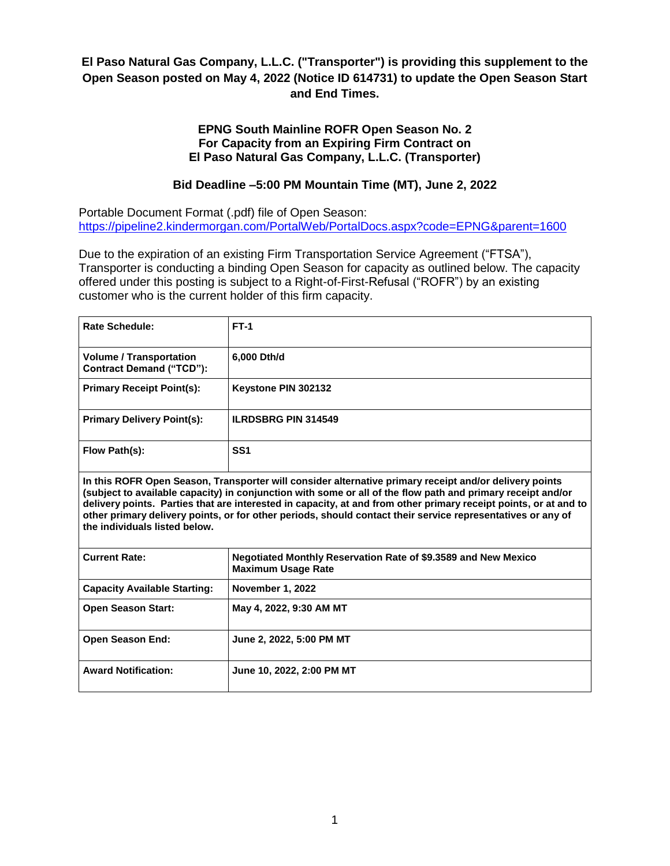# **El Paso Natural Gas Company, L.L.C. ("Transporter") is providing this supplement to the Open Season posted on May 4, 2022 (Notice ID 614731) to update the Open Season Start and End Times.**

### **EPNG South Mainline ROFR Open Season No. 2 For Capacity from an Expiring Firm Contract on El Paso Natural Gas Company, L.L.C. (Transporter)**

# **Bid Deadline –5:00 PM Mountain Time (MT), June 2, 2022**

Portable Document Format (.pdf) file of Open Season: <https://pipeline2.kindermorgan.com/PortalWeb/PortalDocs.aspx?code=EPNG&parent=1600>

Due to the expiration of an existing Firm Transportation Service Agreement ("FTSA"), Transporter is conducting a binding Open Season for capacity as outlined below. The capacity offered under this posting is subject to a Right-of-First-Refusal ("ROFR") by an existing customer who is the current holder of this firm capacity.

| <b>Rate Schedule:</b>                                             | $FT-1$                     |
|-------------------------------------------------------------------|----------------------------|
| <b>Volume / Transportation</b><br><b>Contract Demand ("TCD"):</b> | 6,000 Dth/d                |
| <b>Primary Receipt Point(s):</b>                                  | Keystone PIN 302132        |
| <b>Primary Delivery Point(s):</b>                                 | <b>ILRDSBRG PIN 314549</b> |
| Flow Path(s):                                                     | SS <sub>1</sub>            |

**In this ROFR Open Season, Transporter will consider alternative primary receipt and/or delivery points (subject to available capacity) in conjunction with some or all of the flow path and primary receipt and/or delivery points. Parties that are interested in capacity, at and from other primary receipt points, or at and to other primary delivery points, or for other periods, should contact their service representatives or any of the individuals listed below.**

| <b>Current Rate:</b>                | Negotiated Monthly Reservation Rate of \$9.3589 and New Mexico<br><b>Maximum Usage Rate</b> |
|-------------------------------------|---------------------------------------------------------------------------------------------|
| <b>Capacity Available Starting:</b> | <b>November 1, 2022</b>                                                                     |
| <b>Open Season Start:</b>           | May 4, 2022, 9:30 AM MT                                                                     |
| <b>Open Season End:</b>             | June 2, 2022, 5:00 PM MT                                                                    |
| <b>Award Notification:</b>          | June 10, 2022, 2:00 PM MT                                                                   |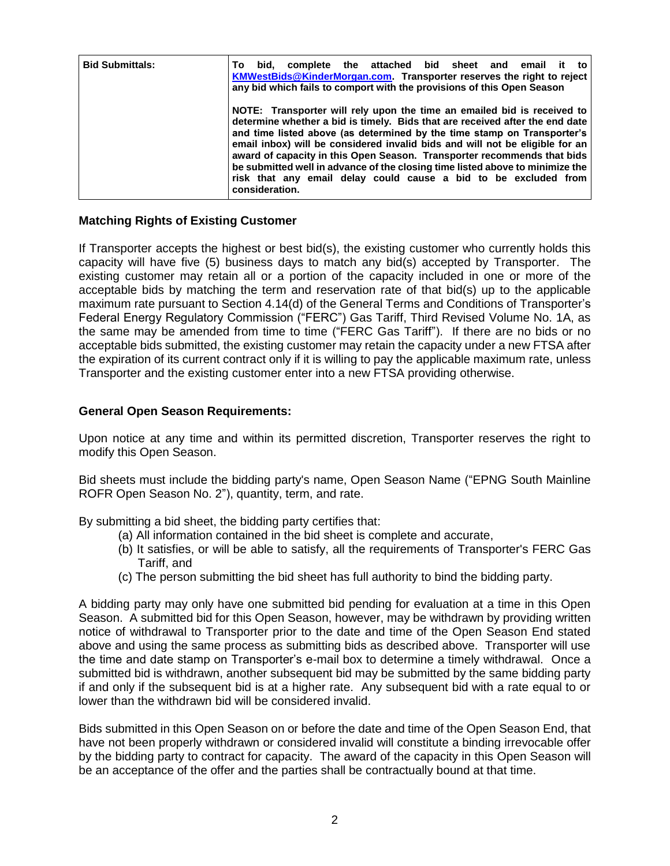| <b>Bid Submittals:</b> | the attached bid sheet and email<br>complete<br>bid.<br>it<br>Тο<br>to<br>KMWestBids@KinderMorgan.com. Transporter reserves the right to reject<br>any bid which fails to comport with the provisions of this Open Season                                                                                                                                                                                                                                                                                                                                           |
|------------------------|---------------------------------------------------------------------------------------------------------------------------------------------------------------------------------------------------------------------------------------------------------------------------------------------------------------------------------------------------------------------------------------------------------------------------------------------------------------------------------------------------------------------------------------------------------------------|
|                        | NOTE: Transporter will rely upon the time an emailed bid is received to<br>determine whether a bid is timely. Bids that are received after the end date<br>and time listed above (as determined by the time stamp on Transporter's<br>email inbox) will be considered invalid bids and will not be eligible for an<br>award of capacity in this Open Season. Transporter recommends that bids<br>be submitted well in advance of the closing time listed above to minimize the<br>risk that any email delay could cause a bid to be excluded from<br>consideration. |

#### **Matching Rights of Existing Customer**

If Transporter accepts the highest or best bid(s), the existing customer who currently holds this capacity will have five (5) business days to match any bid(s) accepted by Transporter. The existing customer may retain all or a portion of the capacity included in one or more of the acceptable bids by matching the term and reservation rate of that bid(s) up to the applicable maximum rate pursuant to Section 4.14(d) of the General Terms and Conditions of Transporter's Federal Energy Regulatory Commission ("FERC") Gas Tariff, Third Revised Volume No. 1A, as the same may be amended from time to time ("FERC Gas Tariff"). If there are no bids or no acceptable bids submitted, the existing customer may retain the capacity under a new FTSA after the expiration of its current contract only if it is willing to pay the applicable maximum rate, unless Transporter and the existing customer enter into a new FTSA providing otherwise.

#### **General Open Season Requirements:**

Upon notice at any time and within its permitted discretion, Transporter reserves the right to modify this Open Season.

Bid sheets must include the bidding party's name, Open Season Name ("EPNG South Mainline ROFR Open Season No. 2"), quantity, term, and rate.

By submitting a bid sheet, the bidding party certifies that:

- (a) All information contained in the bid sheet is complete and accurate,
- (b) It satisfies, or will be able to satisfy, all the requirements of Transporter's FERC Gas Tariff, and
- (c) The person submitting the bid sheet has full authority to bind the bidding party.

A bidding party may only have one submitted bid pending for evaluation at a time in this Open Season. A submitted bid for this Open Season, however, may be withdrawn by providing written notice of withdrawal to Transporter prior to the date and time of the Open Season End stated above and using the same process as submitting bids as described above. Transporter will use the time and date stamp on Transporter's e-mail box to determine a timely withdrawal. Once a submitted bid is withdrawn, another subsequent bid may be submitted by the same bidding party if and only if the subsequent bid is at a higher rate. Any subsequent bid with a rate equal to or lower than the withdrawn bid will be considered invalid.

Bids submitted in this Open Season on or before the date and time of the Open Season End, that have not been properly withdrawn or considered invalid will constitute a binding irrevocable offer by the bidding party to contract for capacity. The award of the capacity in this Open Season will be an acceptance of the offer and the parties shall be contractually bound at that time.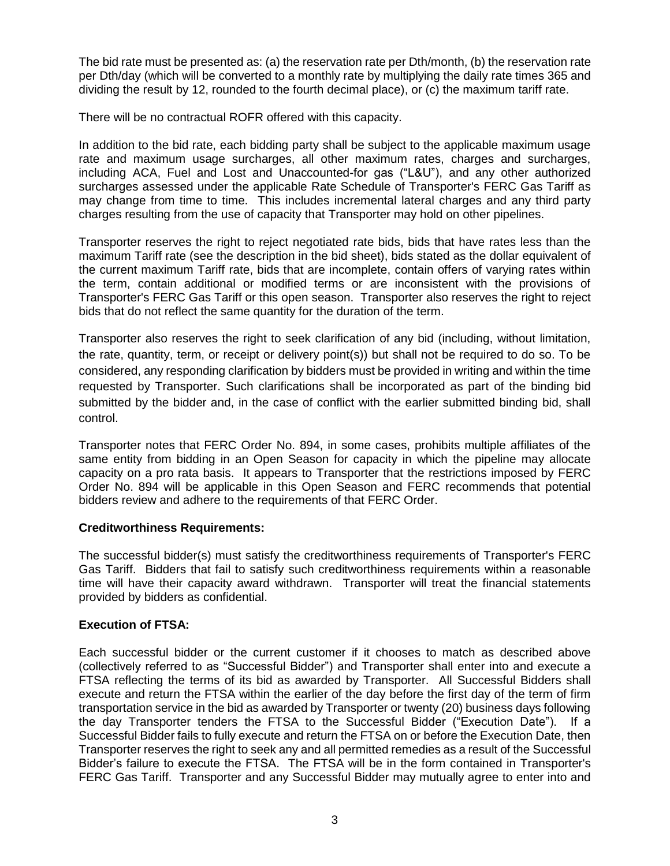The bid rate must be presented as: (a) the reservation rate per Dth/month, (b) the reservation rate per Dth/day (which will be converted to a monthly rate by multiplying the daily rate times 365 and dividing the result by 12, rounded to the fourth decimal place), or (c) the maximum tariff rate.

There will be no contractual ROFR offered with this capacity.

In addition to the bid rate, each bidding party shall be subject to the applicable maximum usage rate and maximum usage surcharges, all other maximum rates, charges and surcharges, including ACA, Fuel and Lost and Unaccounted-for gas ("L&U"), and any other authorized surcharges assessed under the applicable Rate Schedule of Transporter's FERC Gas Tariff as may change from time to time. This includes incremental lateral charges and any third party charges resulting from the use of capacity that Transporter may hold on other pipelines.

Transporter reserves the right to reject negotiated rate bids, bids that have rates less than the maximum Tariff rate (see the description in the bid sheet), bids stated as the dollar equivalent of the current maximum Tariff rate, bids that are incomplete, contain offers of varying rates within the term, contain additional or modified terms or are inconsistent with the provisions of Transporter's FERC Gas Tariff or this open season. Transporter also reserves the right to reject bids that do not reflect the same quantity for the duration of the term.

Transporter also reserves the right to seek clarification of any bid (including, without limitation, the rate, quantity, term, or receipt or delivery point(s)) but shall not be required to do so. To be considered, any responding clarification by bidders must be provided in writing and within the time requested by Transporter. Such clarifications shall be incorporated as part of the binding bid submitted by the bidder and, in the case of conflict with the earlier submitted binding bid, shall control.

Transporter notes that FERC Order No. 894, in some cases, prohibits multiple affiliates of the same entity from bidding in an Open Season for capacity in which the pipeline may allocate capacity on a pro rata basis. It appears to Transporter that the restrictions imposed by FERC Order No. 894 will be applicable in this Open Season and FERC recommends that potential bidders review and adhere to the requirements of that FERC Order.

## **Creditworthiness Requirements:**

The successful bidder(s) must satisfy the creditworthiness requirements of Transporter's FERC Gas Tariff. Bidders that fail to satisfy such creditworthiness requirements within a reasonable time will have their capacity award withdrawn. Transporter will treat the financial statements provided by bidders as confidential.

## **Execution of FTSA:**

Each successful bidder or the current customer if it chooses to match as described above (collectively referred to as "Successful Bidder") and Transporter shall enter into and execute a FTSA reflecting the terms of its bid as awarded by Transporter. All Successful Bidders shall execute and return the FTSA within the earlier of the day before the first day of the term of firm transportation service in the bid as awarded by Transporter or twenty (20) business days following the day Transporter tenders the FTSA to the Successful Bidder ("Execution Date"). If a Successful Bidder fails to fully execute and return the FTSA on or before the Execution Date, then Transporter reserves the right to seek any and all permitted remedies as a result of the Successful Bidder's failure to execute the FTSA. The FTSA will be in the form contained in Transporter's FERC Gas Tariff. Transporter and any Successful Bidder may mutually agree to enter into and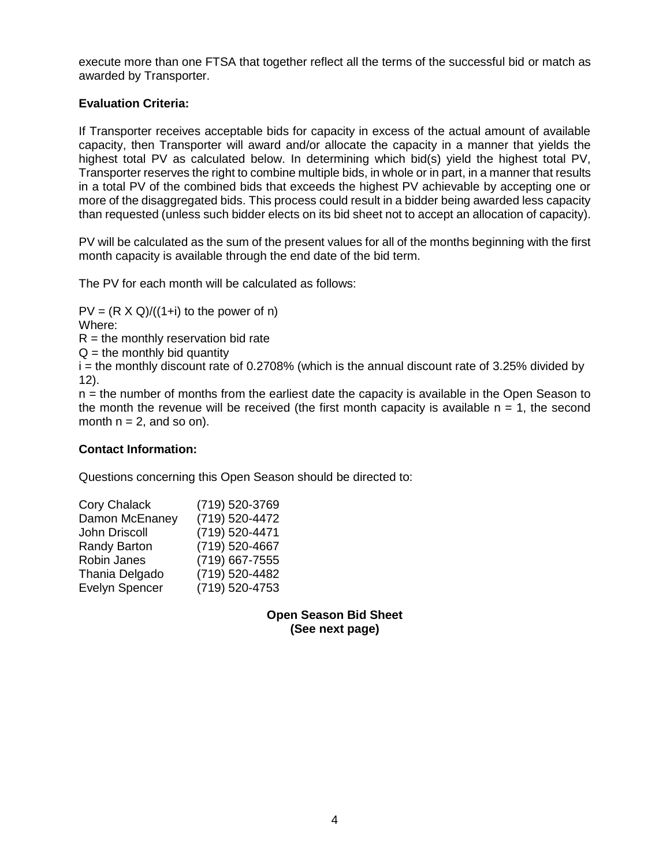execute more than one FTSA that together reflect all the terms of the successful bid or match as awarded by Transporter.

# **Evaluation Criteria:**

If Transporter receives acceptable bids for capacity in excess of the actual amount of available capacity, then Transporter will award and/or allocate the capacity in a manner that yields the highest total PV as calculated below. In determining which bid(s) yield the highest total PV, Transporter reserves the right to combine multiple bids, in whole or in part, in a manner that results in a total PV of the combined bids that exceeds the highest PV achievable by accepting one or more of the disaggregated bids. This process could result in a bidder being awarded less capacity than requested (unless such bidder elects on its bid sheet not to accept an allocation of capacity).

PV will be calculated as the sum of the present values for all of the months beginning with the first month capacity is available through the end date of the bid term.

The PV for each month will be calculated as follows:

 $PV = (R \times Q)/((1+i)$  to the power of n) Where:

 $R =$  the monthly reservation bid rate

 $Q =$  the monthly bid quantity

 $i$  = the monthly discount rate of 0.2708% (which is the annual discount rate of 3.25% divided by 12).

n = the number of months from the earliest date the capacity is available in the Open Season to the month the revenue will be received (the first month capacity is available  $n = 1$ , the second month  $n = 2$ , and so on).

## **Contact Information:**

Questions concerning this Open Season should be directed to:

| <b>Cory Chalack</b>   | (719) 520-3769 |
|-----------------------|----------------|
| Damon McEnaney        | (719) 520-4472 |
| John Driscoll         | (719) 520-4471 |
| <b>Randy Barton</b>   | (719) 520-4667 |
| Robin Janes           | (719) 667-7555 |
| Thania Delgado        | (719) 520-4482 |
| <b>Evelyn Spencer</b> | (719) 520-4753 |

**Open Season Bid Sheet (See next page)**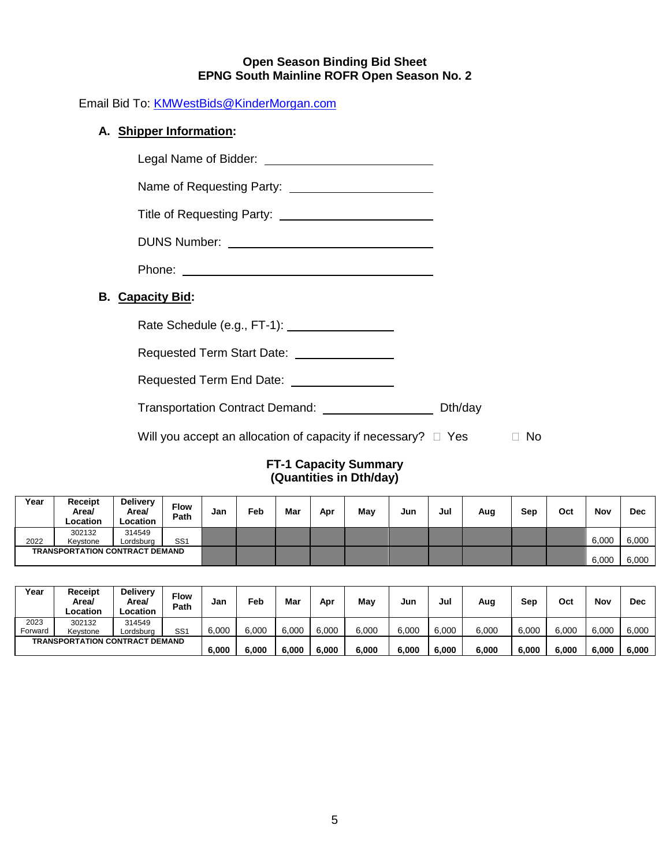#### **Open Season Binding Bid Sheet EPNG South Mainline ROFR Open Season No. 2**

Email Bid To: [KMWestBids@KinderMorgan.com](mailto:KMWestBids@KinderMorgan.com)

# **A. Shipper Information:**

**B. Capacity Bid:**

| <b>Capacity Bid:</b>                                               |           |
|--------------------------------------------------------------------|-----------|
| Rate Schedule (e.g., FT-1): 2000 2000                              |           |
| Requested Term Start Date: \[\start Lequested Term Start Date: \]  |           |
| Requested Term End Date: ____________________                      |           |
| Transportation Contract Demand: ________________________ Dth/day   |           |
| Will you accept an allocation of capacity if necessary? $\Box$ Yes | <b>No</b> |

## **FT-1 Capacity Summary (Quantities in Dth/day)**

| Year                                  | Receipt<br>Area/<br>Location | <b>Delivery</b><br>Area/<br>Location | <b>Flow</b><br>Path | Jan | <b>Feb</b> | Mar | Apr | May | Jun | Jul | Aug | Sep | Oct   | Nov   | <b>Dec</b> |
|---------------------------------------|------------------------------|--------------------------------------|---------------------|-----|------------|-----|-----|-----|-----|-----|-----|-----|-------|-------|------------|
|                                       | 302132                       | 314549                               |                     |     |            |     |     |     |     |     |     |     |       |       |            |
| 2022                                  | Kevstone                     | Lordsburg                            | SS <sub>1</sub>     |     |            |     |     |     |     |     |     |     |       | 6,000 | 6,000      |
| <b>TRANSPORTATION CONTRACT DEMAND</b> |                              |                                      |                     |     |            |     |     |     |     |     |     |     | 6,000 | 6,000 |            |

| Year                                  | Receipt<br>Area/<br>Location | <b>Delivery</b><br>Area/<br>_ocation | <b>Flow</b><br>Path | Jan   | Feb   | Mar   | Apr   | Mav   | Jun   | Jul   | Aug   | Sep   | Oct   | Nov   | <b>Dec</b> |
|---------------------------------------|------------------------------|--------------------------------------|---------------------|-------|-------|-------|-------|-------|-------|-------|-------|-------|-------|-------|------------|
| 2023                                  | 302132                       | 314549                               |                     |       |       |       |       |       |       |       |       |       |       |       |            |
| Forward                               | Kevstone                     | _ordsburg                            | SS <sub>1</sub>     | 6,000 | 6.000 | 6,000 | 6,000 | 6,000 | 6.000 | 6,000 | 6,000 | 6,000 | 6,000 | 6,000 | 6,000      |
| <b>TRANSPORTATION CONTRACT DEMAND</b> |                              |                                      |                     |       |       |       |       |       |       |       |       |       |       |       |            |
|                                       |                              |                                      |                     | 6,000 | 6.000 | 6,000 | 6,000 | 6,000 | 6,000 | 6,000 | 6,000 | 6,000 | 6,000 | 6.000 | 6,000      |